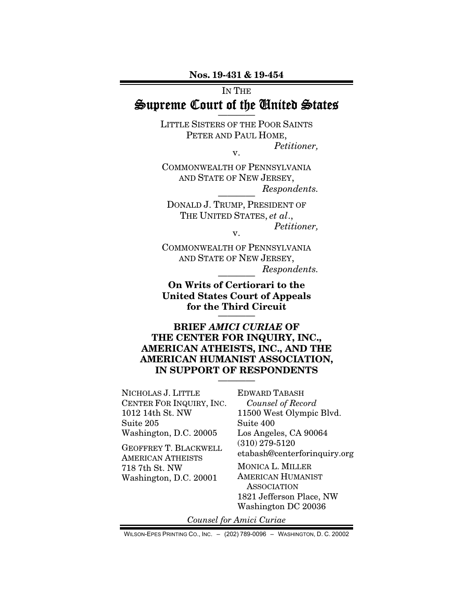Nos. 19-431 & 19-454

# IN THE Supreme Court of the United States

LITTLE SISTERS OF THE POOR SAINTS PETER AND PAUL HOME, *Petitioner,* 

v.

COMMONWEALTH OF PENNSYLVANIA AND STATE OF NEW JERSEY,  $Respondents.$ 

DONALD J. TRUMP, PRESIDENT OF THE UNITED STATES, *et al*., *Petitioner,*  v.

COMMONWEALTH OF PENNSYLVANIA AND STATE OF NEW JERSEY,  $Respondents.$ 

On Writs of Certiorari to the United States Court of Appeals for the Third Circuit

BRIEF *AMICI CURIAE* OF THE CENTER FOR INQUIRY, INC., AMERICAN ATHEISTS, INC., AND THE AMERICAN HUMANIST ASSOCIATION, IN SUPPORT OF RESPONDENTS

————

NICHOLAS J. LITTLE CENTER FOR INQUIRY, INC. 1012 14th St. NW Suite 205 Washington, D.C. 20005

GEOFFREY T. BLACKWELL AMERICAN ATHEISTS 718 7th St. NW Washington, D.C. 20001

EDWARD TABASH *Counsel of Record* 11500 West Olympic Blvd. Suite 400 Los Angeles, CA 90064 (310) 279-5120 etabash@centerforinquiry.org

MONICA L. MILLER AMERICAN HUMANIST **ASSOCIATION** 1821 Jefferson Place, NW Washington DC 20036

*Counsel for Amici Curiae* 

WILSON-EPES PRINTING CO., INC. – (202) 789-0096 – WASHINGTON, D. C. 20002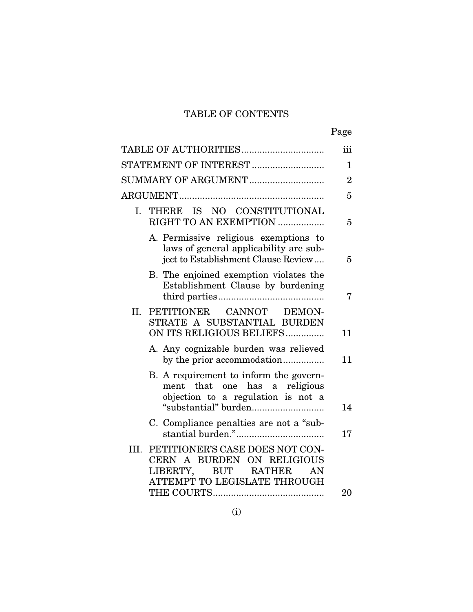# TABLE OF CONTENTS

| ۰, |
|----|
|----|

|                                                                                                                                       | iii            |
|---------------------------------------------------------------------------------------------------------------------------------------|----------------|
|                                                                                                                                       | 1              |
| SUMMARY OF ARGUMENT                                                                                                                   | $\overline{2}$ |
|                                                                                                                                       | 5              |
| THERE IS NO CONSTITUTIONAL<br>I.<br>RIGHT TO AN EXEMPTION                                                                             | 5              |
| A. Permissive religious exemptions to<br>laws of general applicability are sub-<br>ject to Establishment Clause Review                | 5              |
| B. The enjoined exemption violates the<br>Establishment Clause by burdening                                                           | 7              |
| II.<br>PETITIONER CANNOT DEMON-<br>STRATE A SUBSTANTIAL BURDEN<br>ON ITS RELIGIOUS BELIEFS                                            | 11             |
| A. Any cognizable burden was relieved<br>by the prior accommodation                                                                   | 11             |
| B. A requirement to inform the govern-<br>ment that one has a religious<br>objection to a regulation is not a                         | 14             |
| C. Compliance penalties are not a "sub-                                                                                               | 17             |
| PETITIONER'S CASE DOES NOT CON-<br>III.<br>CERN A BURDEN ON RELIGIOUS<br>LIBERTY,<br>BUT RATHER<br>AN<br>ATTEMPT TO LEGISLATE THROUGH |                |
|                                                                                                                                       | 20             |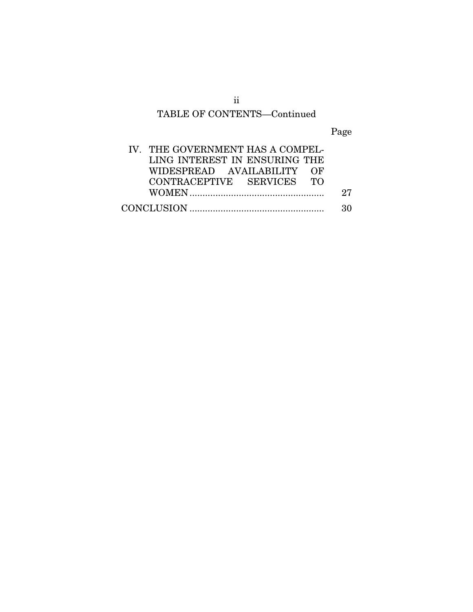# ii TABLE OF CONTENTS—Continued

Page

| IV. THE GOVERNMENT HAS A COMPEL- |    |
|----------------------------------|----|
| LING INTEREST IN ENSURING THE    |    |
| WIDESPREAD AVAILABILITY OF       |    |
| CONTRACEPTIVE SERVICES TO        |    |
|                                  | 27 |
|                                  | २० |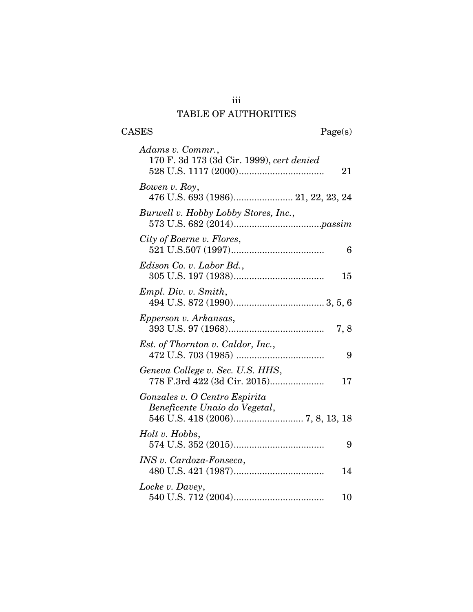# iii TABLE OF AUTHORITIES

CASES Page(s)

| Adams v. Commr.,<br>170 F. 3d 173 (3d Cir. 1999), cert denied<br>21    |
|------------------------------------------------------------------------|
| Bowen v. Roy,<br>476 U.S. 693 (1986) 21, 22, 23, 24                    |
| Burwell v. Hobby Lobby Stores, Inc.,                                   |
| City of Boerne v. Flores,<br>6                                         |
| Edison Co. v. Labor Bd.,<br>15                                         |
| Empl. Div. v. Smith,                                                   |
| Epperson v. Arkansas,<br>7,8                                           |
| <i>Est.</i> of Thornton v. Caldor, Inc.,<br>9                          |
| Geneva College v. Sec. U.S. HHS,<br>778 F.3rd 422 (3d Cir. 2015)<br>17 |
| Gonzales v. O Centro Espirita<br>Beneficente Unaio do Vegetal,         |
| Holt v. Hobbs,<br>9                                                    |
| INS v. Cardoza-Fonseca,<br>14                                          |
| Locke v. Davey,<br>10                                                  |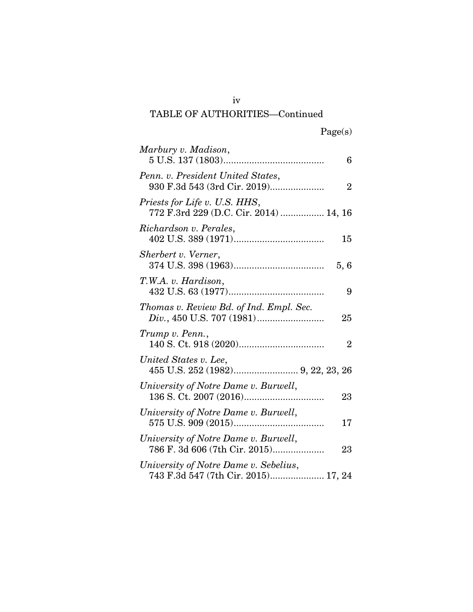# iv TABLE OF AUTHORITIES—Continued

| Marbury v. Madison,<br>6                                                            |
|-------------------------------------------------------------------------------------|
| Penn. v. President United States,<br>930 F.3d 543 (3rd Cir. 2019)<br>$\overline{2}$ |
| Priests for Life v. U.S. HHS,<br>772 F.3rd 229 (D.C. Cir. 2014)  14, 16             |
| Richardson v. Perales,<br>15                                                        |
| Sherbert v. Verner,<br>5,6                                                          |
| T.W.A. v. Hardison,<br>9                                                            |
| Thomas v. Review Bd. of Ind. Empl. Sec.<br>25                                       |
| Trump v. Penn.,<br>$\overline{2}$                                                   |
| United States v. Lee,                                                               |
| University of Notre Dame v. Burwell,<br>23                                          |
| University of Notre Dame v. Burwell,<br>17                                          |
| University of Notre Dame v. Burwell,<br>786 F. 3d 606 (7th Cir. 2015)<br>23         |
| University of Notre Dame v. Sebelius,<br>743 F.3d 547 (7th Cir. 2015) 17, 24        |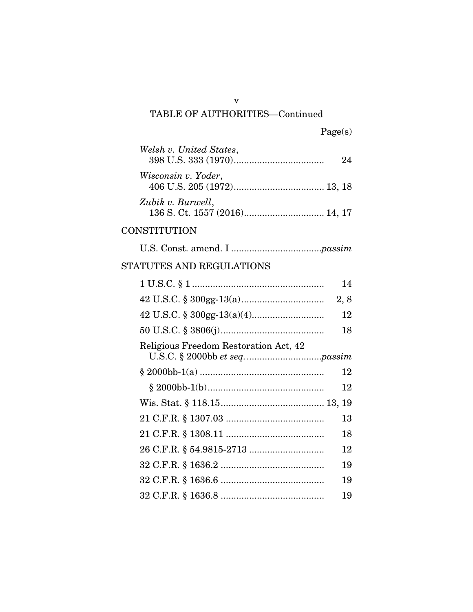# TABLE OF AUTHORITIES—Continued

| Welsh v. United States, | 94 |
|-------------------------|----|
| Wisconsin v. Yoder,     |    |
| Zubik v. Burwell,       |    |

# **CONSTITUTION**

|--|--|--|--|--|

# STATUTES AND REGULATIONS

|                                       | 14  |
|---------------------------------------|-----|
|                                       | 2,8 |
|                                       | 12  |
|                                       | 18  |
| Religious Freedom Restoration Act, 42 |     |
|                                       | 12  |
|                                       | 12  |
|                                       |     |
|                                       | 13  |
|                                       | 18  |
|                                       | 12  |
|                                       | 19  |
|                                       | 19  |
|                                       | 19  |

v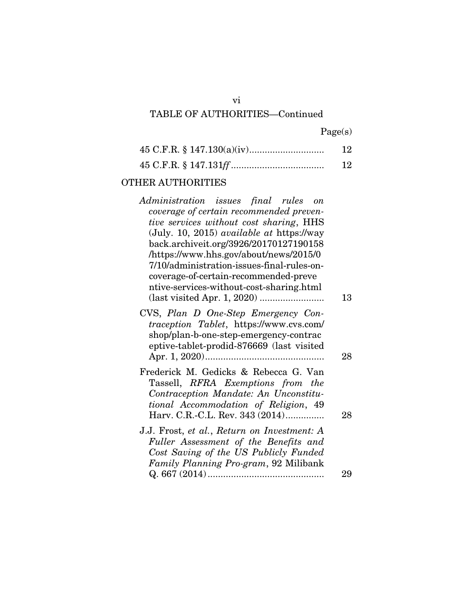# vi TABLE OF AUTHORITIES—Continued

Page(s)

| 12 |
|----|
| 12 |

# OTHER AUTHORITIES

| Administration issues final rules on                                                |    |
|-------------------------------------------------------------------------------------|----|
| coverage of certain recommended preven-                                             |    |
| tive services without cost sharing, HHS                                             |    |
| (July. 10, 2015) <i>available at https://way</i>                                    |    |
| back.archiveit.org/3926/20170127190158                                              |    |
| /https://www.hhs.gov/about/news/2015/0                                              |    |
| 7/10/administration-issues-final-rules-on-<br>coverage-of-certain-recommended-preve |    |
| ntive-services-without-cost-sharing.html                                            |    |
|                                                                                     | 13 |
| CVS, Plan D One-Step Emergency Con-                                                 |    |
| traception Tablet, https://www.cvs.com/                                             |    |
| shop/plan-b-one-step-emergency-contrac                                              |    |
| eptive-tablet-prodid-876669 (last visited                                           |    |
|                                                                                     | 28 |
| Frederick M. Gedicks & Rebecca G. Van                                               |    |
| Tassell, RFRA Exemptions from the                                                   |    |
| Contraception Mandate: An Unconstitu-                                               |    |
| tional Accommodation of Religion, 49                                                |    |
| Harv. C.R.-C.L. Rev. 343 (2014)                                                     | 28 |
| J.J. Frost, et al., Return on Investment: A                                         |    |
| Fuller Assessment of the Benefits and                                               |    |
| Cost Saving of the US Publicly Funded                                               |    |
| Family Planning Pro-gram, 92 Milibank                                               |    |
|                                                                                     | 29 |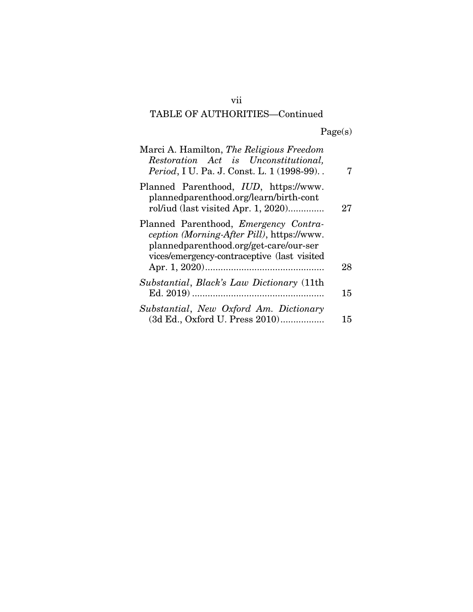# TABLE OF AUTHORITIES—Continued

Page(s)

| Marci A. Hamilton, The Religious Freedom<br>Restoration Act is Unconstitutional,<br>Period, I U. Pa. J. Const. L. 1 (1998-99)                                                       | 7  |
|-------------------------------------------------------------------------------------------------------------------------------------------------------------------------------------|----|
| Planned Parenthood, IUD, https://www.<br>plannedparenthood.org/learn/birth-cont<br>rol/iud (last visited Apr. 1, 2020)                                                              | 27 |
| Planned Parenthood, <i>Emergency Contra-</i><br>ception (Morning-After Pill), https://www.<br>plannedparenthood.org/get-care/our-ser<br>vices/emergency-contraceptive (last visited | 28 |
| Substantial, Black's Law Dictionary (11th                                                                                                                                           | 15 |
| Substantial, New Oxford Am. Dictionary<br>(3d Ed., Oxford U. Press 2010)                                                                                                            | 15 |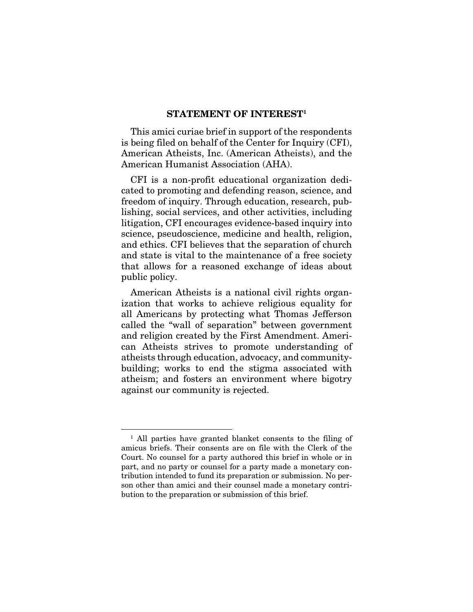#### STATEMENT OF INTEREST<sup>1</sup>

This amici curiae brief in support of the respondents is being filed on behalf of the Center for Inquiry (CFI), American Atheists, Inc. (American Atheists), and the American Humanist Association (AHA).

CFI is a non-profit educational organization dedicated to promoting and defending reason, science, and freedom of inquiry. Through education, research, publishing, social services, and other activities, including litigation, CFI encourages evidence-based inquiry into science, pseudoscience, medicine and health, religion, and ethics. CFI believes that the separation of church and state is vital to the maintenance of a free society that allows for a reasoned exchange of ideas about public policy.

American Atheists is a national civil rights organization that works to achieve religious equality for all Americans by protecting what Thomas Jefferson called the "wall of separation" between government and religion created by the First Amendment. American Atheists strives to promote understanding of atheists through education, advocacy, and communitybuilding; works to end the stigma associated with atheism; and fosters an environment where bigotry against our community is rejected.

<sup>&</sup>lt;sup>1</sup> All parties have granted blanket consents to the filing of amicus briefs. Their consents are on file with the Clerk of the Court. No counsel for a party authored this brief in whole or in part, and no party or counsel for a party made a monetary contribution intended to fund its preparation or submission. No person other than amici and their counsel made a monetary contribution to the preparation or submission of this brief.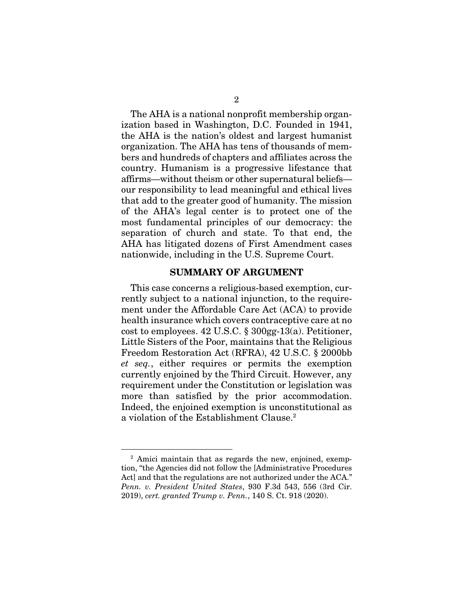The AHA is a national nonprofit membership organization based in Washington, D.C. Founded in 1941, the AHA is the nation's oldest and largest humanist organization. The AHA has tens of thousands of members and hundreds of chapters and affiliates across the country. Humanism is a progressive lifestance that affirms—without theism or other supernatural beliefs our responsibility to lead meaningful and ethical lives that add to the greater good of humanity. The mission of the AHA's legal center is to protect one of the most fundamental principles of our democracy: the separation of church and state. To that end, the AHA has litigated dozens of First Amendment cases nationwide, including in the U.S. Supreme Court.

#### SUMMARY OF ARGUMENT

This case concerns a religious-based exemption, currently subject to a national injunction, to the requirement under the Affordable Care Act (ACA) to provide health insurance which covers contraceptive care at no cost to employees. 42 U.S.C. § 300gg-13(a). Petitioner, Little Sisters of the Poor, maintains that the Religious Freedom Restoration Act (RFRA), 42 U.S.C. § 2000bb *et seq.*, either requires or permits the exemption currently enjoined by the Third Circuit. However, any requirement under the Constitution or legislation was more than satisfied by the prior accommodation. Indeed, the enjoined exemption is unconstitutional as a violation of the Establishment Clause.2

<sup>2</sup> Amici maintain that as regards the new, enjoined, exemption, "the Agencies did not follow the [Administrative Procedures Act] and that the regulations are not authorized under the ACA." *Penn. v. President United States*, 930 F.3d 543, 556 (3rd Cir. 2019), *cert. granted Trump v. Penn.*, 140 S. Ct. 918 (2020).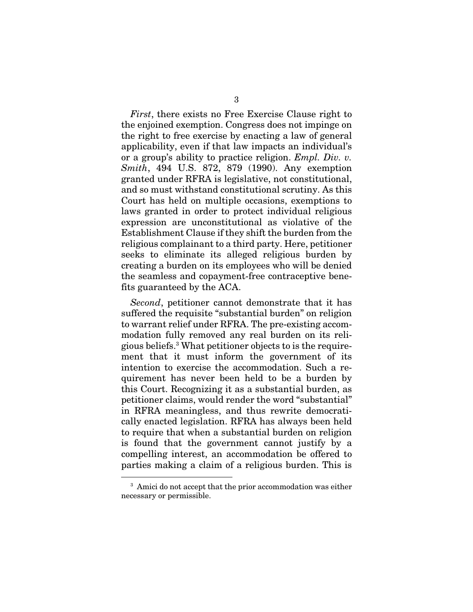*First*, there exists no Free Exercise Clause right to the enjoined exemption. Congress does not impinge on the right to free exercise by enacting a law of general applicability, even if that law impacts an individual's or a group's ability to practice religion. *Empl. Div. v. Smith*, 494 U.S. 872, 879 (1990). Any exemption granted under RFRA is legislative, not constitutional, and so must withstand constitutional scrutiny. As this Court has held on multiple occasions, exemptions to laws granted in order to protect individual religious expression are unconstitutional as violative of the Establishment Clause if they shift the burden from the religious complainant to a third party. Here, petitioner seeks to eliminate its alleged religious burden by creating a burden on its employees who will be denied the seamless and copayment-free contraceptive benefits guaranteed by the ACA.

*Second*, petitioner cannot demonstrate that it has suffered the requisite "substantial burden" on religion to warrant relief under RFRA. The pre-existing accommodation fully removed any real burden on its religious beliefs.3 What petitioner objects to is the requirement that it must inform the government of its intention to exercise the accommodation. Such a requirement has never been held to be a burden by this Court. Recognizing it as a substantial burden, as petitioner claims, would render the word "substantial" in RFRA meaningless, and thus rewrite democratically enacted legislation. RFRA has always been held to require that when a substantial burden on religion is found that the government cannot justify by a compelling interest, an accommodation be offered to parties making a claim of a religious burden. This is

<sup>&</sup>lt;sup>3</sup> Amici do not accept that the prior accommodation was either necessary or permissible.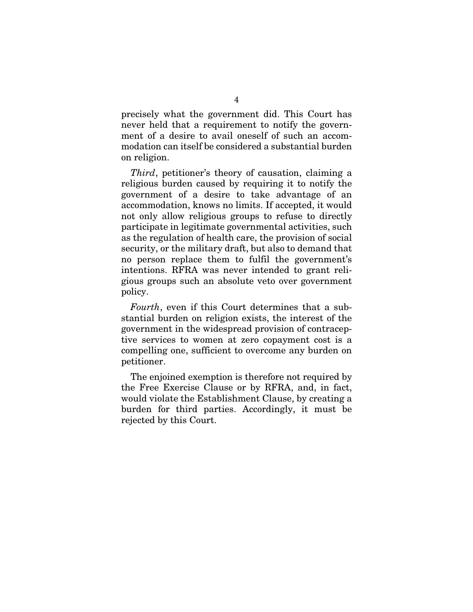precisely what the government did. This Court has never held that a requirement to notify the government of a desire to avail oneself of such an accommodation can itself be considered a substantial burden on religion.

*Third*, petitioner's theory of causation, claiming a religious burden caused by requiring it to notify the government of a desire to take advantage of an accommodation, knows no limits. If accepted, it would not only allow religious groups to refuse to directly participate in legitimate governmental activities, such as the regulation of health care, the provision of social security, or the military draft, but also to demand that no person replace them to fulfil the government's intentions. RFRA was never intended to grant religious groups such an absolute veto over government policy.

*Fourth*, even if this Court determines that a substantial burden on religion exists, the interest of the government in the widespread provision of contraceptive services to women at zero copayment cost is a compelling one, sufficient to overcome any burden on petitioner.

The enjoined exemption is therefore not required by the Free Exercise Clause or by RFRA, and, in fact, would violate the Establishment Clause, by creating a burden for third parties. Accordingly, it must be rejected by this Court.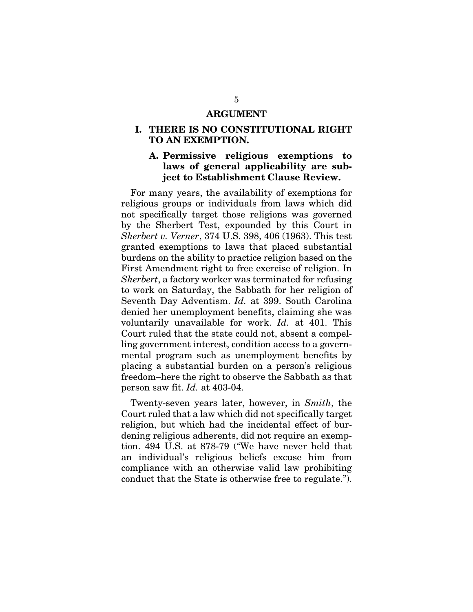#### ARGUMENT

### I. THERE IS NO CONSTITUTIONAL RIGHT TO AN EXEMPTION.

## A. Permissive religious exemptions to laws of general applicability are subject to Establishment Clause Review.

For many years, the availability of exemptions for religious groups or individuals from laws which did not specifically target those religions was governed by the Sherbert Test, expounded by this Court in *Sherbert v. Verner*, 374 U.S. 398, 406 (1963). This test granted exemptions to laws that placed substantial burdens on the ability to practice religion based on the First Amendment right to free exercise of religion. In *Sherbert*, a factory worker was terminated for refusing to work on Saturday, the Sabbath for her religion of Seventh Day Adventism. *Id.* at 399. South Carolina denied her unemployment benefits, claiming she was voluntarily unavailable for work. *Id.* at 401. This Court ruled that the state could not, absent a compelling government interest, condition access to a governmental program such as unemployment benefits by placing a substantial burden on a person's religious freedom–here the right to observe the Sabbath as that person saw fit. *Id.* at 403-04.

Twenty-seven years later, however, in *Smith*, the Court ruled that a law which did not specifically target religion, but which had the incidental effect of burdening religious adherents, did not require an exemption. 494 U.S. at 878-79 ("We have never held that an individual's religious beliefs excuse him from compliance with an otherwise valid law prohibiting conduct that the State is otherwise free to regulate.").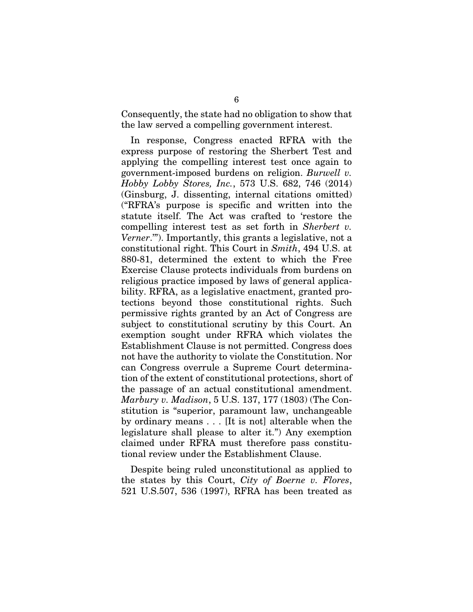Consequently, the state had no obligation to show that the law served a compelling government interest.

In response, Congress enacted RFRA with the express purpose of restoring the Sherbert Test and applying the compelling interest test once again to government-imposed burdens on religion. *Burwell v. Hobby Lobby Stores, Inc.*, 573 U.S. 682, 746 (2014) (Ginsburg, J. dissenting, internal citations omitted) ("RFRA's purpose is specific and written into the statute itself. The Act was crafted to 'restore the compelling interest test as set forth in *Sherbert v. Verner*.'"). Importantly, this grants a legislative, not a constitutional right. This Court in *Smith*, 494 U.S. at 880-81, determined the extent to which the Free Exercise Clause protects individuals from burdens on religious practice imposed by laws of general applicability. RFRA, as a legislative enactment, granted protections beyond those constitutional rights. Such permissive rights granted by an Act of Congress are subject to constitutional scrutiny by this Court. An exemption sought under RFRA which violates the Establishment Clause is not permitted. Congress does not have the authority to violate the Constitution. Nor can Congress overrule a Supreme Court determination of the extent of constitutional protections, short of the passage of an actual constitutional amendment. *Marbury v. Madison*, 5 U.S. 137, 177 (1803) (The Constitution is "superior, paramount law, unchangeable by ordinary means . . . [It is not] alterable when the legislature shall please to alter it.") Any exemption claimed under RFRA must therefore pass constitutional review under the Establishment Clause.

Despite being ruled unconstitutional as applied to the states by this Court, *City of Boerne v. Flores*, 521 U.S.507, 536 (1997), RFRA has been treated as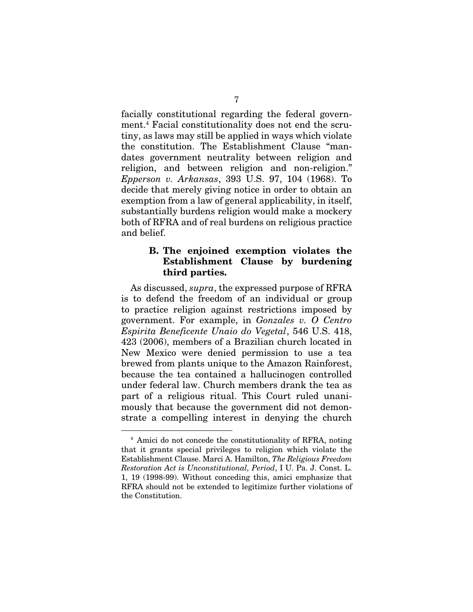facially constitutional regarding the federal government.4 Facial constitutionality does not end the scrutiny, as laws may still be applied in ways which violate the constitution. The Establishment Clause "mandates government neutrality between religion and religion, and between religion and non-religion." *Epperson v. Arkansas*, 393 U.S. 97, 104 (1968). To decide that merely giving notice in order to obtain an exemption from a law of general applicability, in itself, substantially burdens religion would make a mockery both of RFRA and of real burdens on religious practice and belief.

## B. The enjoined exemption violates the Establishment Clause by burdening third parties.

As discussed, *supra*, the expressed purpose of RFRA is to defend the freedom of an individual or group to practice religion against restrictions imposed by government. For example, in *Gonzales v. O Centro Espirita Beneficente Unaio do Vegetal*, 546 U.S. 418, 423 (2006), members of a Brazilian church located in New Mexico were denied permission to use a tea brewed from plants unique to the Amazon Rainforest, because the tea contained a hallucinogen controlled under federal law. Church members drank the tea as part of a religious ritual. This Court ruled unanimously that because the government did not demonstrate a compelling interest in denying the church

<sup>4</sup> Amici do not concede the constitutionality of RFRA, noting that it grants special privileges to religion which violate the Establishment Clause. Marci A. Hamilton, *The Religious Freedom Restoration Act is Unconstitutional, Period*, I U. Pa. J. Const. L. 1, 19 (1998-99). Without conceding this, amici emphasize that RFRA should not be extended to legitimize further violations of the Constitution.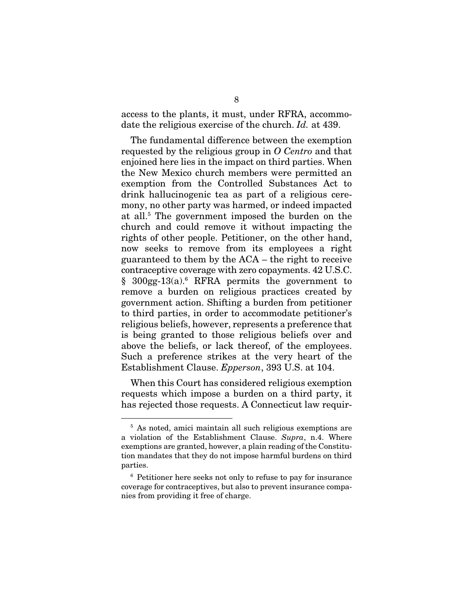access to the plants, it must, under RFRA, accommodate the religious exercise of the church. *Id.* at 439.

The fundamental difference between the exemption requested by the religious group in *O Centro* and that enjoined here lies in the impact on third parties. When the New Mexico church members were permitted an exemption from the Controlled Substances Act to drink hallucinogenic tea as part of a religious ceremony, no other party was harmed, or indeed impacted at all.5 The government imposed the burden on the church and could remove it without impacting the rights of other people. Petitioner, on the other hand, now seeks to remove from its employees a right guaranteed to them by the ACA – the right to receive contraceptive coverage with zero copayments. 42 U.S.C.  $§$  300gg-13(a).<sup>6</sup> RFRA permits the government to remove a burden on religious practices created by government action. Shifting a burden from petitioner to third parties, in order to accommodate petitioner's religious beliefs, however, represents a preference that is being granted to those religious beliefs over and above the beliefs, or lack thereof, of the employees. Such a preference strikes at the very heart of the Establishment Clause. *Epperson*, 393 U.S. at 104.

When this Court has considered religious exemption requests which impose a burden on a third party, it has rejected those requests. A Connecticut law requir-

<sup>5</sup> As noted, amici maintain all such religious exemptions are a violation of the Establishment Clause. *Supra*, n.4. Where exemptions are granted, however, a plain reading of the Constitution mandates that they do not impose harmful burdens on third parties.

<sup>6</sup> Petitioner here seeks not only to refuse to pay for insurance coverage for contraceptives, but also to prevent insurance companies from providing it free of charge.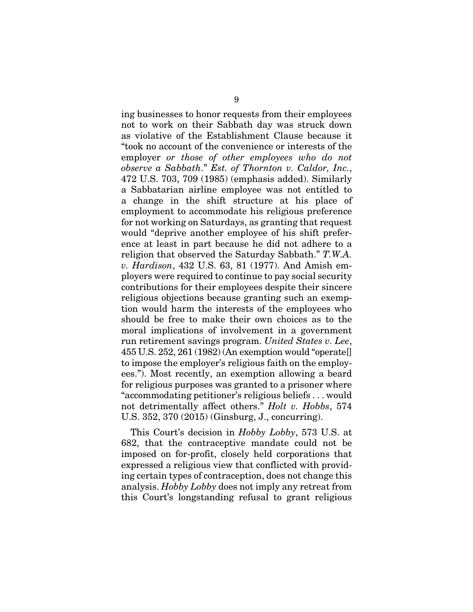ing businesses to honor requests from their employees not to work on their Sabbath day was struck down as violative of the Establishment Clause because it "took no account of the convenience or interests of the employer *or those of other employees who do not observe a Sabbath*." *Est. of Thornton v. Caldor, Inc.*, 472 U.S. 703, 709 (1985) (emphasis added). Similarly a Sabbatarian airline employee was not entitled to a change in the shift structure at his place of employment to accommodate his religious preference for not working on Saturdays, as granting that request would "deprive another employee of his shift preference at least in part because he did not adhere to a religion that observed the Saturday Sabbath." *T.W.A. v. Hardison*, 432 U.S. 63, 81 (1977). And Amish employers were required to continue to pay social security contributions for their employees despite their sincere religious objections because granting such an exemption would harm the interests of the employees who should be free to make their own choices as to the moral implications of involvement in a government run retirement savings program. *United States v. Lee*, 455 U.S. 252, 261 (1982) (An exemption would "operate[] to impose the employer's religious faith on the employees."). Most recently, an exemption allowing a beard for religious purposes was granted to a prisoner where "accommodating petitioner's religious beliefs . . . would not detrimentally affect others." *Holt v. Hobbs*, 574 U.S. 352, 370 (2015) (Ginsburg, J., concurring).

This Court's decision in *Hobby Lobby*, 573 U.S. at 682, that the contraceptive mandate could not be imposed on for-profit, closely held corporations that expressed a religious view that conflicted with providing certain types of contraception, does not change this analysis. *Hobby Lobby* does not imply any retreat from this Court's longstanding refusal to grant religious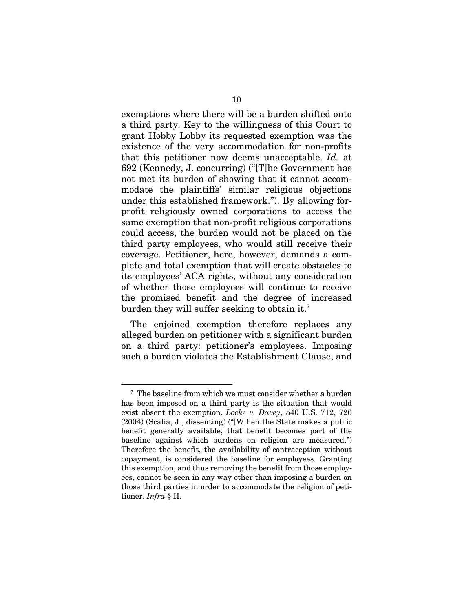exemptions where there will be a burden shifted onto a third party. Key to the willingness of this Court to grant Hobby Lobby its requested exemption was the existence of the very accommodation for non-profits that this petitioner now deems unacceptable. *Id.* at 692 (Kennedy, J. concurring) ("[T]he Government has not met its burden of showing that it cannot accommodate the plaintiffs' similar religious objections under this established framework."). By allowing forprofit religiously owned corporations to access the same exemption that non-profit religious corporations could access, the burden would not be placed on the third party employees, who would still receive their coverage. Petitioner, here, however, demands a complete and total exemption that will create obstacles to its employees' ACA rights, without any consideration of whether those employees will continue to receive the promised benefit and the degree of increased burden they will suffer seeking to obtain it.7

The enjoined exemption therefore replaces any alleged burden on petitioner with a significant burden on a third party: petitioner's employees. Imposing such a burden violates the Establishment Clause, and

<sup>7</sup> The baseline from which we must consider whether a burden has been imposed on a third party is the situation that would exist absent the exemption. *Locke v. Davey*, 540 U.S. 712, 726 (2004) (Scalia, J., dissenting) ("[W]hen the State makes a public benefit generally available, that benefit becomes part of the baseline against which burdens on religion are measured.") Therefore the benefit, the availability of contraception without copayment, is considered the baseline for employees. Granting this exemption, and thus removing the benefit from those employees, cannot be seen in any way other than imposing a burden on those third parties in order to accommodate the religion of petitioner. *Infra* § II.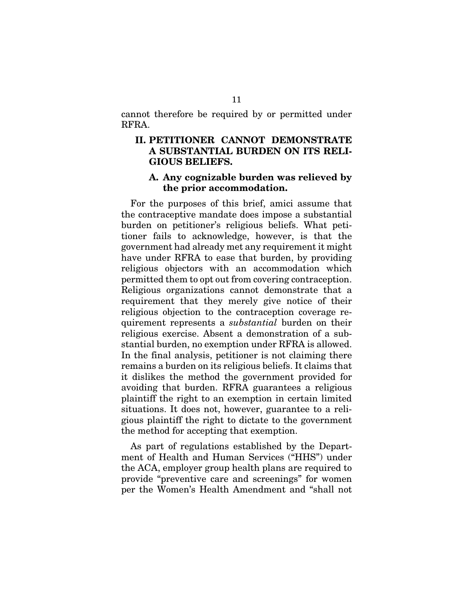cannot therefore be required by or permitted under RFRA.

## II. PETITIONER CANNOT DEMONSTRATE A SUBSTANTIAL BURDEN ON ITS RELI-GIOUS BELIEFS.

#### A. Any cognizable burden was relieved by the prior accommodation.

For the purposes of this brief, amici assume that the contraceptive mandate does impose a substantial burden on petitioner's religious beliefs. What petitioner fails to acknowledge, however, is that the government had already met any requirement it might have under RFRA to ease that burden, by providing religious objectors with an accommodation which permitted them to opt out from covering contraception. Religious organizations cannot demonstrate that a requirement that they merely give notice of their religious objection to the contraception coverage requirement represents a *substantial* burden on their religious exercise. Absent a demonstration of a substantial burden, no exemption under RFRA is allowed. In the final analysis, petitioner is not claiming there remains a burden on its religious beliefs. It claims that it dislikes the method the government provided for avoiding that burden. RFRA guarantees a religious plaintiff the right to an exemption in certain limited situations. It does not, however, guarantee to a religious plaintiff the right to dictate to the government the method for accepting that exemption.

As part of regulations established by the Department of Health and Human Services ("HHS") under the ACA, employer group health plans are required to provide "preventive care and screenings" for women per the Women's Health Amendment and "shall not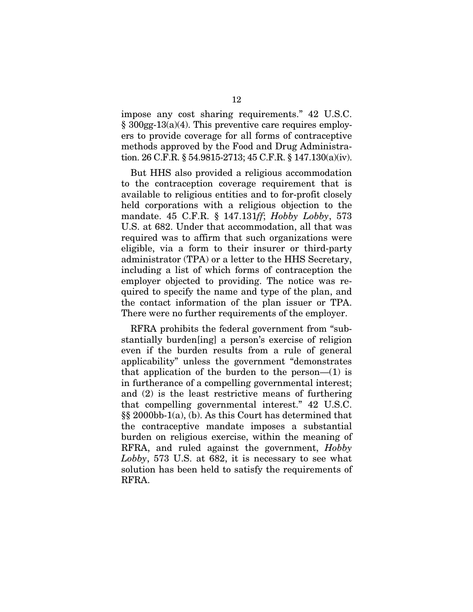impose any cost sharing requirements." 42 U.S.C. § 300gg-13(a)(4). This preventive care requires employers to provide coverage for all forms of contraceptive methods approved by the Food and Drug Administration. 26 C.F.R. § 54.9815-2713; 45 C.F.R. § 147.130(a)(iv).

But HHS also provided a religious accommodation to the contraception coverage requirement that is available to religious entities and to for-profit closely held corporations with a religious objection to the mandate. 45 C.F.R. § 147.131*ff*; *Hobby Lobby*, 573 U.S. at 682. Under that accommodation, all that was required was to affirm that such organizations were eligible, via a form to their insurer or third-party administrator (TPA) or a letter to the HHS Secretary, including a list of which forms of contraception the employer objected to providing. The notice was required to specify the name and type of the plan, and the contact information of the plan issuer or TPA. There were no further requirements of the employer.

RFRA prohibits the federal government from "substantially burden[ing] a person's exercise of religion even if the burden results from a rule of general applicability" unless the government "demonstrates that application of the burden to the person— $(1)$  is in furtherance of a compelling governmental interest; and (2) is the least restrictive means of furthering that compelling governmental interest." 42 U.S.C. §§ 2000bb-1(a), (b). As this Court has determined that the contraceptive mandate imposes a substantial burden on religious exercise, within the meaning of RFRA, and ruled against the government, *Hobby Lobby*, 573 U.S. at 682, it is necessary to see what solution has been held to satisfy the requirements of RFRA.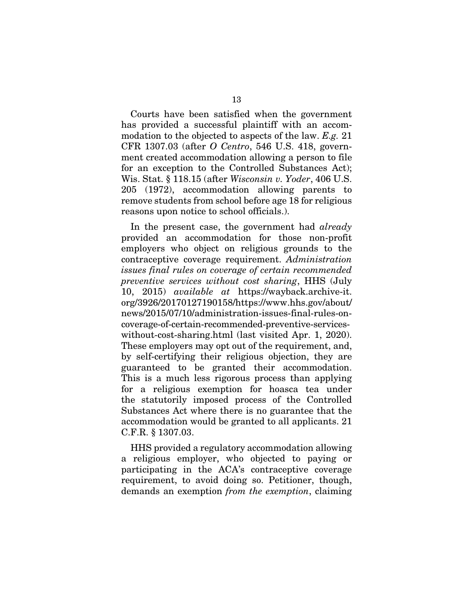Courts have been satisfied when the government has provided a successful plaintiff with an accommodation to the objected to aspects of the law. *E.g.* 21 CFR 1307.03 (after *O Centro*, 546 U.S. 418, government created accommodation allowing a person to file for an exception to the Controlled Substances Act); Wis. Stat. § 118.15 (after *Wisconsin v. Yoder*, 406 U.S. 205 (1972), accommodation allowing parents to remove students from school before age 18 for religious reasons upon notice to school officials.).

In the present case, the government had *already* provided an accommodation for those non-profit employers who object on religious grounds to the contraceptive coverage requirement. *Administration issues final rules on coverage of certain recommended preventive services without cost sharing*, HHS (July 10, 2015) *available at* https://wayback.archive-it. org/3926/20170127190158/https://www.hhs.gov/about/ news/2015/07/10/administration-issues-final-rules-oncoverage-of-certain-recommended-preventive-serviceswithout-cost-sharing.html (last visited Apr. 1, 2020). These employers may opt out of the requirement, and, by self-certifying their religious objection, they are guaranteed to be granted their accommodation. This is a much less rigorous process than applying for a religious exemption for hoasca tea under the statutorily imposed process of the Controlled Substances Act where there is no guarantee that the accommodation would be granted to all applicants. 21 C.F.R. § 1307.03.

HHS provided a regulatory accommodation allowing a religious employer, who objected to paying or participating in the ACA's contraceptive coverage requirement, to avoid doing so. Petitioner, though, demands an exemption *from the exemption*, claiming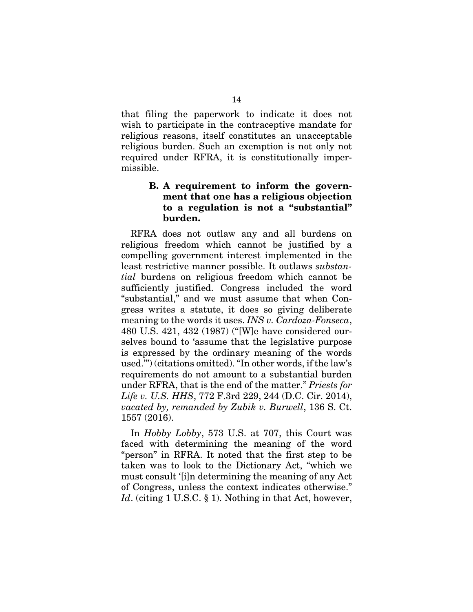that filing the paperwork to indicate it does not wish to participate in the contraceptive mandate for religious reasons, itself constitutes an unacceptable religious burden. Such an exemption is not only not required under RFRA, it is constitutionally impermissible.

## B. A requirement to inform the government that one has a religious objection to a regulation is not a "substantial" burden.

RFRA does not outlaw any and all burdens on religious freedom which cannot be justified by a compelling government interest implemented in the least restrictive manner possible. It outlaws *substantial* burdens on religious freedom which cannot be sufficiently justified. Congress included the word "substantial," and we must assume that when Congress writes a statute, it does so giving deliberate meaning to the words it uses. *INS v. Cardoza-Fonseca*, 480 U.S. 421, 432 (1987) ("[W]e have considered ourselves bound to 'assume that the legislative purpose is expressed by the ordinary meaning of the words used.'") (citations omitted). "In other words, if the law's requirements do not amount to a substantial burden under RFRA, that is the end of the matter." *Priests for Life v. U.S. HHS*, 772 F.3rd 229, 244 (D.C. Cir. 2014), *vacated by, remanded by Zubik v. Burwell*, 136 S. Ct. 1557 (2016).

In *Hobby Lobby*, 573 U.S. at 707, this Court was faced with determining the meaning of the word "person" in RFRA. It noted that the first step to be taken was to look to the Dictionary Act, "which we must consult '[i]n determining the meaning of any Act of Congress, unless the context indicates otherwise." *Id.* (citing 1 U.S.C. § 1). Nothing in that Act, however,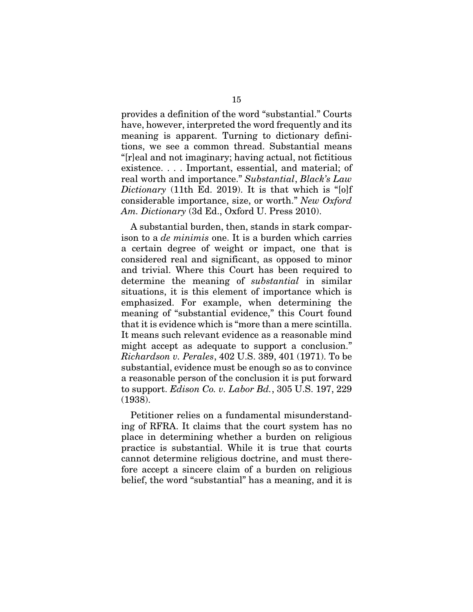provides a definition of the word "substantial." Courts have, however, interpreted the word frequently and its meaning is apparent. Turning to dictionary definitions, we see a common thread. Substantial means "[r]eal and not imaginary; having actual, not fictitious existence. . . . Important, essential, and material; of real worth and importance." *Substantial*, *Black's Law Dictionary* (11th Ed. 2019). It is that which is "[o]f considerable importance, size, or worth." *New Oxford Am. Dictionary* (3d Ed., Oxford U. Press 2010).

A substantial burden, then, stands in stark comparison to a *de minimis* one. It is a burden which carries a certain degree of weight or impact, one that is considered real and significant, as opposed to minor and trivial. Where this Court has been required to determine the meaning of *substantial* in similar situations, it is this element of importance which is emphasized. For example, when determining the meaning of "substantial evidence," this Court found that it is evidence which is "more than a mere scintilla. It means such relevant evidence as a reasonable mind might accept as adequate to support a conclusion." *Richardson v. Perales*, 402 U.S. 389, 401 (1971). To be substantial, evidence must be enough so as to convince a reasonable person of the conclusion it is put forward to support. *Edison Co. v. Labor Bd.*, 305 U.S. 197, 229 (1938).

Petitioner relies on a fundamental misunderstanding of RFRA. It claims that the court system has no place in determining whether a burden on religious practice is substantial. While it is true that courts cannot determine religious doctrine, and must therefore accept a sincere claim of a burden on religious belief, the word "substantial" has a meaning, and it is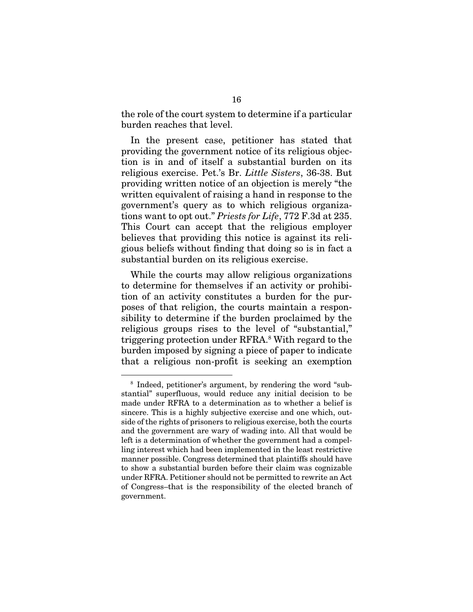the role of the court system to determine if a particular burden reaches that level.

In the present case, petitioner has stated that providing the government notice of its religious objection is in and of itself a substantial burden on its religious exercise. Pet.'s Br. *Little Sisters*, 36-38. But providing written notice of an objection is merely "the written equivalent of raising a hand in response to the government's query as to which religious organizations want to opt out." *Priests for Life*, 772 F.3d at 235. This Court can accept that the religious employer believes that providing this notice is against its religious beliefs without finding that doing so is in fact a substantial burden on its religious exercise.

While the courts may allow religious organizations to determine for themselves if an activity or prohibition of an activity constitutes a burden for the purposes of that religion, the courts maintain a responsibility to determine if the burden proclaimed by the religious groups rises to the level of "substantial," triggering protection under RFRA.8 With regard to the burden imposed by signing a piece of paper to indicate that a religious non-profit is seeking an exemption

<sup>8</sup> Indeed, petitioner's argument, by rendering the word "substantial" superfluous, would reduce any initial decision to be made under RFRA to a determination as to whether a belief is sincere. This is a highly subjective exercise and one which, outside of the rights of prisoners to religious exercise, both the courts and the government are wary of wading into. All that would be left is a determination of whether the government had a compelling interest which had been implemented in the least restrictive manner possible. Congress determined that plaintiffs should have to show a substantial burden before their claim was cognizable under RFRA. Petitioner should not be permitted to rewrite an Act of Congress–that is the responsibility of the elected branch of government.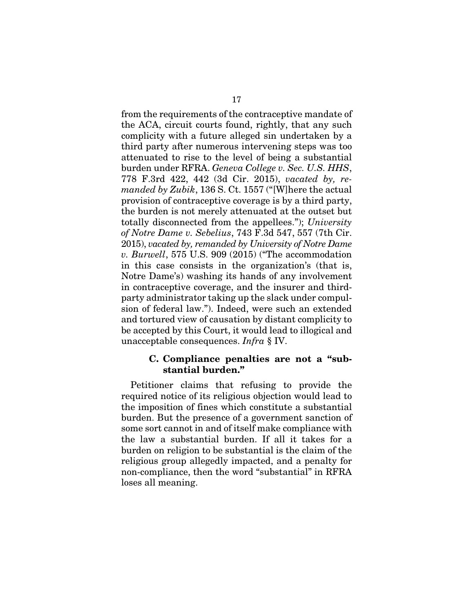from the requirements of the contraceptive mandate of the ACA, circuit courts found, rightly, that any such complicity with a future alleged sin undertaken by a third party after numerous intervening steps was too attenuated to rise to the level of being a substantial burden under RFRA. *Geneva College v. Sec. U.S. HHS*, 778 F.3rd 422, 442 (3d Cir. 2015), *vacated by, remanded by Zubik*, 136 S. Ct. 1557 ("[W]here the actual provision of contraceptive coverage is by a third party, the burden is not merely attenuated at the outset but totally disconnected from the appellees."); *University of Notre Dame v. Sebelius*, 743 F.3d 547, 557 (7th Cir. 2015), *vacated by, remanded by University of Notre Dame v. Burwell*, 575 U.S. 909 (2015) ("The accommodation in this case consists in the organization's (that is, Notre Dame's) washing its hands of any involvement in contraceptive coverage, and the insurer and thirdparty administrator taking up the slack under compulsion of federal law."). Indeed, were such an extended and tortured view of causation by distant complicity to be accepted by this Court, it would lead to illogical and unacceptable consequences. *Infra* § IV.

#### C. Compliance penalties are not a "substantial burden."

Petitioner claims that refusing to provide the required notice of its religious objection would lead to the imposition of fines which constitute a substantial burden. But the presence of a government sanction of some sort cannot in and of itself make compliance with the law a substantial burden. If all it takes for a burden on religion to be substantial is the claim of the religious group allegedly impacted, and a penalty for non-compliance, then the word "substantial" in RFRA loses all meaning.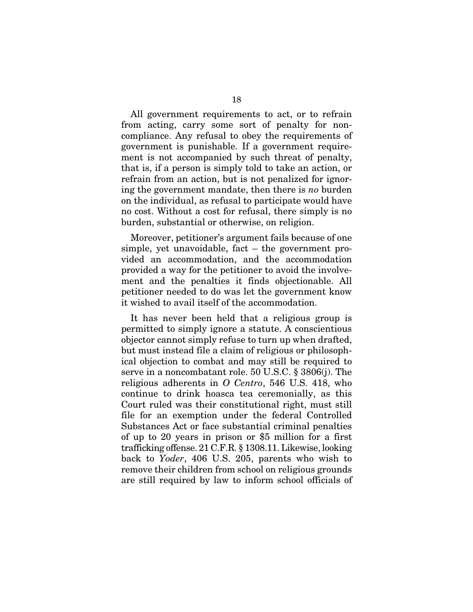All government requirements to act, or to refrain from acting, carry some sort of penalty for noncompliance. Any refusal to obey the requirements of government is punishable. If a government requirement is not accompanied by such threat of penalty, that is, if a person is simply told to take an action, or refrain from an action, but is not penalized for ignoring the government mandate, then there is *no* burden on the individual, as refusal to participate would have no cost. Without a cost for refusal, there simply is no burden, substantial or otherwise, on religion.

Moreover, petitioner's argument fails because of one simple, yet unavoidable, fact – the government provided an accommodation, and the accommodation provided a way for the petitioner to avoid the involvement and the penalties it finds objectionable. All petitioner needed to do was let the government know it wished to avail itself of the accommodation.

It has never been held that a religious group is permitted to simply ignore a statute. A conscientious objector cannot simply refuse to turn up when drafted, but must instead file a claim of religious or philosophical objection to combat and may still be required to serve in a noncombatant role. 50 U.S.C. § 3806(j). The religious adherents in *O Centro*, 546 U.S. 418, who continue to drink hoasca tea ceremonially, as this Court ruled was their constitutional right, must still file for an exemption under the federal Controlled Substances Act or face substantial criminal penalties of up to 20 years in prison or \$5 million for a first trafficking offense. 21 C.F.R. § 1308.11. Likewise, looking back to *Yoder*, 406 U.S. 205, parents who wish to remove their children from school on religious grounds are still required by law to inform school officials of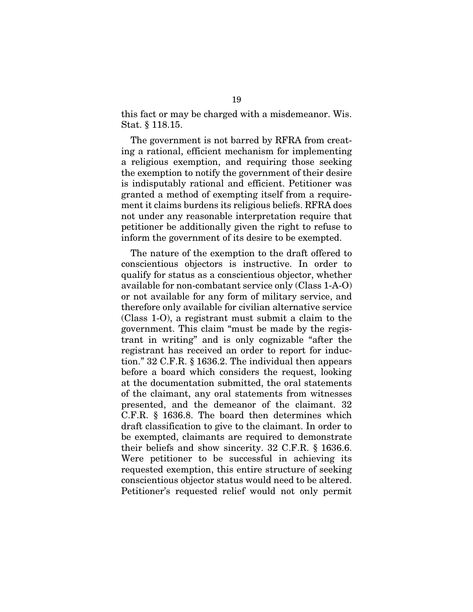this fact or may be charged with a misdemeanor. Wis. Stat. § 118.15.

The government is not barred by RFRA from creating a rational, efficient mechanism for implementing a religious exemption, and requiring those seeking the exemption to notify the government of their desire is indisputably rational and efficient. Petitioner was granted a method of exempting itself from a requirement it claims burdens its religious beliefs. RFRA does not under any reasonable interpretation require that petitioner be additionally given the right to refuse to inform the government of its desire to be exempted.

The nature of the exemption to the draft offered to conscientious objectors is instructive. In order to qualify for status as a conscientious objector, whether available for non-combatant service only (Class 1-A-O) or not available for any form of military service, and therefore only available for civilian alternative service (Class 1-O), a registrant must submit a claim to the government. This claim "must be made by the registrant in writing" and is only cognizable "after the registrant has received an order to report for induction." 32 C.F.R. § 1636.2. The individual then appears before a board which considers the request, looking at the documentation submitted, the oral statements of the claimant, any oral statements from witnesses presented, and the demeanor of the claimant. 32 C.F.R. § 1636.8. The board then determines which draft classification to give to the claimant. In order to be exempted, claimants are required to demonstrate their beliefs and show sincerity. 32 C.F.R. § 1636.6. Were petitioner to be successful in achieving its requested exemption, this entire structure of seeking conscientious objector status would need to be altered. Petitioner's requested relief would not only permit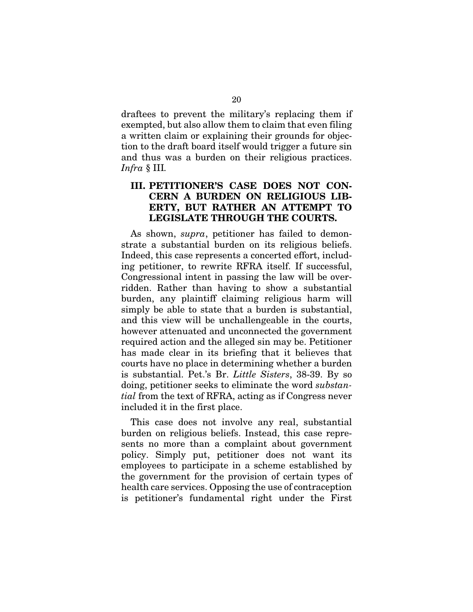draftees to prevent the military's replacing them if exempted, but also allow them to claim that even filing a written claim or explaining their grounds for objection to the draft board itself would trigger a future sin and thus was a burden on their religious practices. *Infra* § III*.* 

## III. PETITIONER'S CASE DOES NOT CON-CERN A BURDEN ON RELIGIOUS LIB-ERTY, BUT RATHER AN ATTEMPT TO LEGISLATE THROUGH THE COURTS.

As shown, *supra*, petitioner has failed to demonstrate a substantial burden on its religious beliefs. Indeed, this case represents a concerted effort, including petitioner, to rewrite RFRA itself. If successful, Congressional intent in passing the law will be overridden. Rather than having to show a substantial burden, any plaintiff claiming religious harm will simply be able to state that a burden is substantial, and this view will be unchallengeable in the courts, however attenuated and unconnected the government required action and the alleged sin may be. Petitioner has made clear in its briefing that it believes that courts have no place in determining whether a burden is substantial. Pet.'s Br. *Little Sisters*, 38-39. By so doing, petitioner seeks to eliminate the word *substantial* from the text of RFRA, acting as if Congress never included it in the first place.

This case does not involve any real, substantial burden on religious beliefs. Instead, this case represents no more than a complaint about government policy. Simply put, petitioner does not want its employees to participate in a scheme established by the government for the provision of certain types of health care services. Opposing the use of contraception is petitioner's fundamental right under the First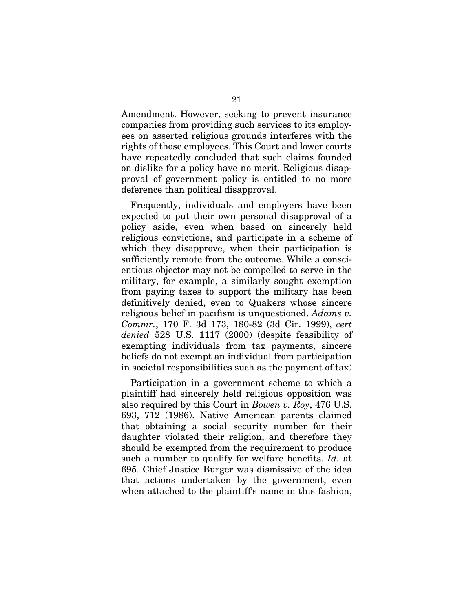Amendment. However, seeking to prevent insurance companies from providing such services to its employees on asserted religious grounds interferes with the rights of those employees. This Court and lower courts have repeatedly concluded that such claims founded on dislike for a policy have no merit. Religious disapproval of government policy is entitled to no more deference than political disapproval.

Frequently, individuals and employers have been expected to put their own personal disapproval of a policy aside, even when based on sincerely held religious convictions, and participate in a scheme of which they disapprove, when their participation is sufficiently remote from the outcome. While a conscientious objector may not be compelled to serve in the military, for example, a similarly sought exemption from paying taxes to support the military has been definitively denied, even to Quakers whose sincere religious belief in pacifism is unquestioned. *Adams v. Commr.*, 170 F. 3d 173, 180-82 (3d Cir. 1999), *cert denied* 528 U.S. 1117 (2000) (despite feasibility of exempting individuals from tax payments, sincere beliefs do not exempt an individual from participation in societal responsibilities such as the payment of tax)

Participation in a government scheme to which a plaintiff had sincerely held religious opposition was also required by this Court in *Bowen v. Roy*, 476 U.S. 693, 712 (1986). Native American parents claimed that obtaining a social security number for their daughter violated their religion, and therefore they should be exempted from the requirement to produce such a number to qualify for welfare benefits. *Id.* at 695. Chief Justice Burger was dismissive of the idea that actions undertaken by the government, even when attached to the plaintiff's name in this fashion,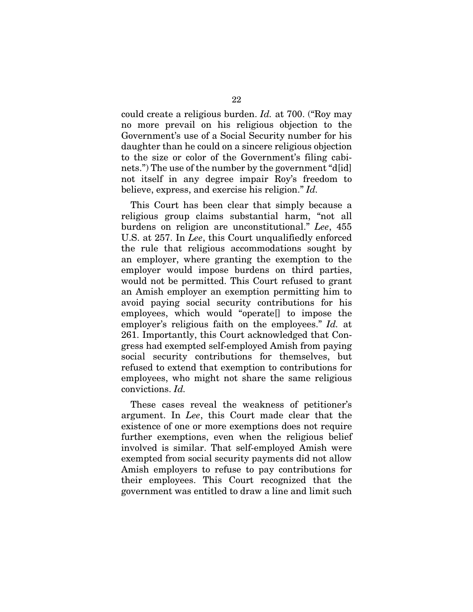could create a religious burden. *Id.* at 700. ("Roy may no more prevail on his religious objection to the Government's use of a Social Security number for his daughter than he could on a sincere religious objection to the size or color of the Government's filing cabinets.") The use of the number by the government "d[id] not itself in any degree impair Roy's freedom to believe, express, and exercise his religion." *Id.*

This Court has been clear that simply because a religious group claims substantial harm, "not all burdens on religion are unconstitutional." *Lee*, 455 U.S. at 257. In *Lee*, this Court unqualifiedly enforced the rule that religious accommodations sought by an employer, where granting the exemption to the employer would impose burdens on third parties, would not be permitted. This Court refused to grant an Amish employer an exemption permitting him to avoid paying social security contributions for his employees, which would "operate[] to impose the employer's religious faith on the employees." *Id.* at 261. Importantly, this Court acknowledged that Congress had exempted self-employed Amish from paying social security contributions for themselves, but refused to extend that exemption to contributions for employees, who might not share the same religious convictions. *Id.*

These cases reveal the weakness of petitioner's argument. In *Lee*, this Court made clear that the existence of one or more exemptions does not require further exemptions, even when the religious belief involved is similar. That self-employed Amish were exempted from social security payments did not allow Amish employers to refuse to pay contributions for their employees. This Court recognized that the government was entitled to draw a line and limit such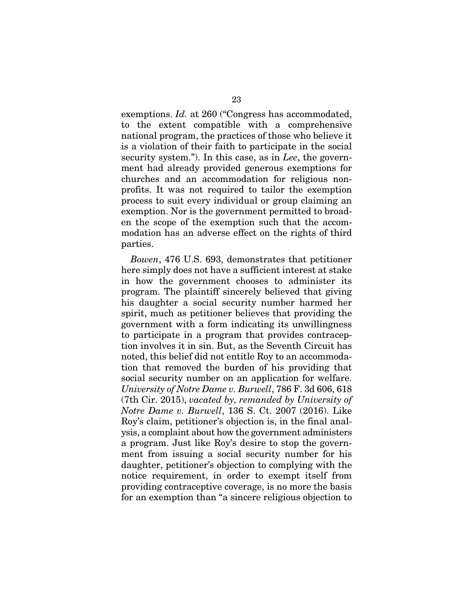exemptions. *Id.* at 260 ("Congress has accommodated, to the extent compatible with a comprehensive national program, the practices of those who believe it is a violation of their faith to participate in the social security system."). In this case, as in *Lee*, the government had already provided generous exemptions for churches and an accommodation for religious nonprofits. It was not required to tailor the exemption process to suit every individual or group claiming an exemption. Nor is the government permitted to broaden the scope of the exemption such that the accommodation has an adverse effect on the rights of third parties.

*Bowen*, 476 U.S. 693, demonstrates that petitioner here simply does not have a sufficient interest at stake in how the government chooses to administer its program. The plaintiff sincerely believed that giving his daughter a social security number harmed her spirit, much as petitioner believes that providing the government with a form indicating its unwillingness to participate in a program that provides contraception involves it in sin. But, as the Seventh Circuit has noted, this belief did not entitle Roy to an accommodation that removed the burden of his providing that social security number on an application for welfare. *University of Notre Dame v. Burwell*, 786 F. 3d 606, 618 (7th Cir. 2015), *vacated by, remanded by University of Notre Dame v. Burwell*, 136 S. Ct. 2007 (2016). Like Roy's claim, petitioner's objection is, in the final analysis, a complaint about how the government administers a program. Just like Roy's desire to stop the government from issuing a social security number for his daughter, petitioner's objection to complying with the notice requirement, in order to exempt itself from providing contraceptive coverage, is no more the basis for an exemption than "a sincere religious objection to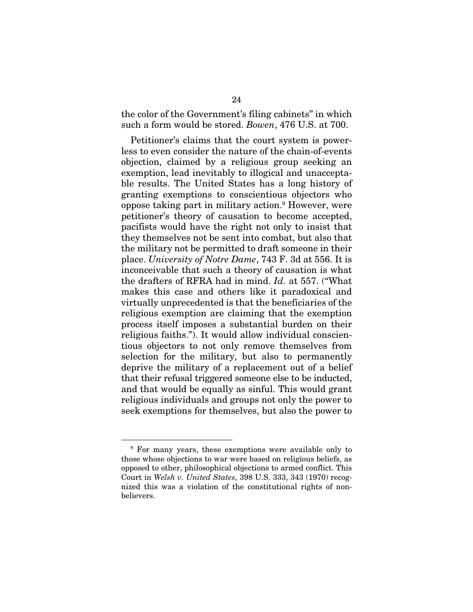the color of the Government's filing cabinets" in which such a form would be stored. *Bowen*, 476 U.S. at 700.

Petitioner's claims that the court system is powerless to even consider the nature of the chain-of-events objection, claimed by a religious group seeking an exemption, lead inevitably to illogical and unacceptable results. The United States has a long history of granting exemptions to conscientious objectors who oppose taking part in military action.9 However, were petitioner's theory of causation to become accepted, pacifists would have the right not only to insist that they themselves not be sent into combat, but also that the military not be permitted to draft someone in their place. *University of Notre Dame*, 743 F. 3d at 556. It is inconceivable that such a theory of causation is what the drafters of RFRA had in mind. *Id.* at 557. ("What makes this case and others like it paradoxical and virtually unprecedented is that the beneficiaries of the religious exemption are claiming that the exemption process itself imposes a substantial burden on their religious faiths."). It would allow individual conscientious objectors to not only remove themselves from selection for the military, but also to permanently deprive the military of a replacement out of a belief that their refusal triggered someone else to be inducted, and that would be equally as sinful. This would grant religious individuals and groups not only the power to seek exemptions for themselves, but also the power to

<sup>9</sup> For many years, these exemptions were available only to those whose objections to war were based on religious beliefs, as opposed to other, philosophical objections to armed conflict. This Court in *Welsh v. United States*, 398 U.S. 333, 343 (1970) recognized this was a violation of the constitutional rights of nonbelievers.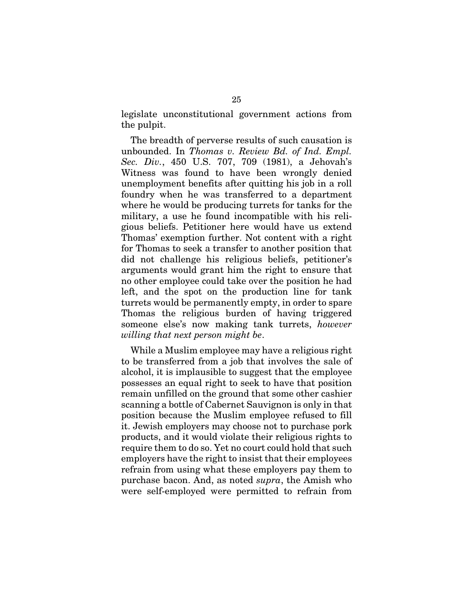legislate unconstitutional government actions from the pulpit.

The breadth of perverse results of such causation is unbounded. In *Thomas v. Review Bd. of Ind. Empl. Sec. Div.*, 450 U.S. 707, 709 (1981), a Jehovah's Witness was found to have been wrongly denied unemployment benefits after quitting his job in a roll foundry when he was transferred to a department where he would be producing turrets for tanks for the military, a use he found incompatible with his religious beliefs. Petitioner here would have us extend Thomas' exemption further. Not content with a right for Thomas to seek a transfer to another position that did not challenge his religious beliefs, petitioner's arguments would grant him the right to ensure that no other employee could take over the position he had left, and the spot on the production line for tank turrets would be permanently empty, in order to spare Thomas the religious burden of having triggered someone else's now making tank turrets, *however willing that next person might be*.

While a Muslim employee may have a religious right to be transferred from a job that involves the sale of alcohol, it is implausible to suggest that the employee possesses an equal right to seek to have that position remain unfilled on the ground that some other cashier scanning a bottle of Cabernet Sauvignon is only in that position because the Muslim employee refused to fill it. Jewish employers may choose not to purchase pork products, and it would violate their religious rights to require them to do so. Yet no court could hold that such employers have the right to insist that their employees refrain from using what these employers pay them to purchase bacon. And, as noted *supra*, the Amish who were self-employed were permitted to refrain from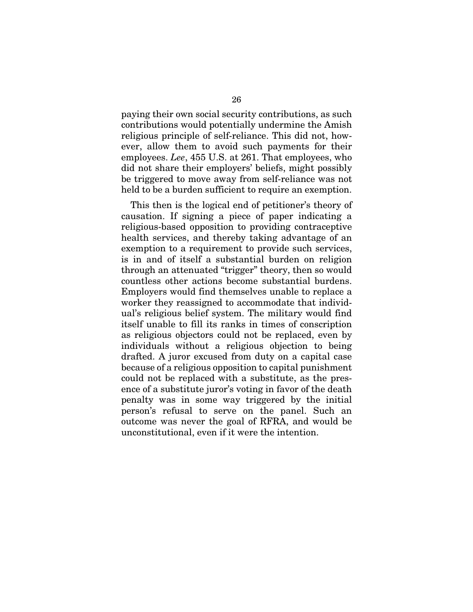paying their own social security contributions, as such contributions would potentially undermine the Amish religious principle of self-reliance. This did not, however, allow them to avoid such payments for their employees. *Lee*, 455 U.S. at 261. That employees, who did not share their employers' beliefs, might possibly be triggered to move away from self-reliance was not held to be a burden sufficient to require an exemption.

This then is the logical end of petitioner's theory of causation. If signing a piece of paper indicating a religious-based opposition to providing contraceptive health services, and thereby taking advantage of an exemption to a requirement to provide such services, is in and of itself a substantial burden on religion through an attenuated "trigger" theory, then so would countless other actions become substantial burdens. Employers would find themselves unable to replace a worker they reassigned to accommodate that individual's religious belief system. The military would find itself unable to fill its ranks in times of conscription as religious objectors could not be replaced, even by individuals without a religious objection to being drafted. A juror excused from duty on a capital case because of a religious opposition to capital punishment could not be replaced with a substitute, as the presence of a substitute juror's voting in favor of the death penalty was in some way triggered by the initial person's refusal to serve on the panel. Such an outcome was never the goal of RFRA, and would be unconstitutional, even if it were the intention.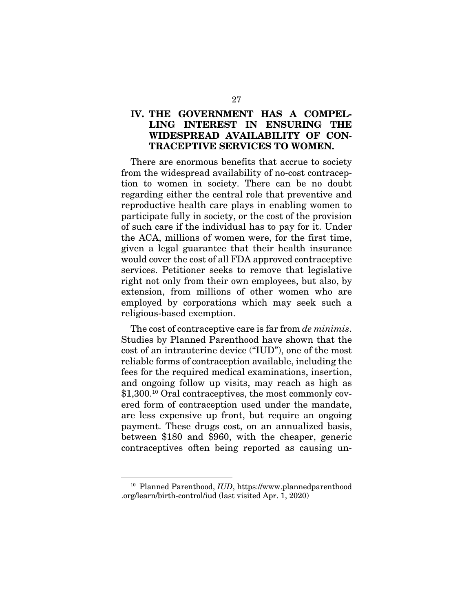## IV. THE GOVERNMENT HAS A COMPEL-LING INTEREST IN ENSURING THE WIDESPREAD AVAILABILITY OF CON-TRACEPTIVE SERVICES TO WOMEN.

There are enormous benefits that accrue to society from the widespread availability of no-cost contraception to women in society. There can be no doubt regarding either the central role that preventive and reproductive health care plays in enabling women to participate fully in society, or the cost of the provision of such care if the individual has to pay for it. Under the ACA, millions of women were, for the first time, given a legal guarantee that their health insurance would cover the cost of all FDA approved contraceptive services. Petitioner seeks to remove that legislative right not only from their own employees, but also, by extension, from millions of other women who are employed by corporations which may seek such a religious-based exemption.

The cost of contraceptive care is far from *de minimis*. Studies by Planned Parenthood have shown that the cost of an intrauterine device ("IUD"), one of the most reliable forms of contraception available, including the fees for the required medical examinations, insertion, and ongoing follow up visits, may reach as high as \$1,300.10 Oral contraceptives, the most commonly covered form of contraception used under the mandate, are less expensive up front, but require an ongoing payment. These drugs cost, on an annualized basis, between \$180 and \$960, with the cheaper, generic contraceptives often being reported as causing un-

<sup>10</sup> Planned Parenthood, *IUD*, https://www.plannedparenthood .org/learn/birth-control/iud (last visited Apr. 1, 2020)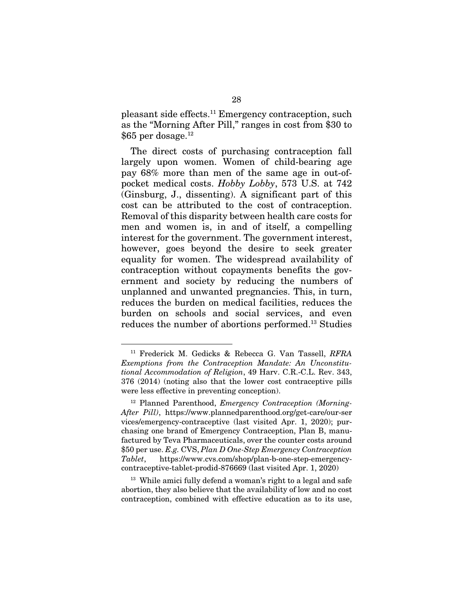pleasant side effects.11 Emergency contraception, such as the "Morning After Pill," ranges in cost from \$30 to \$65 per dosage.<sup>12</sup>

The direct costs of purchasing contraception fall largely upon women. Women of child-bearing age pay 68% more than men of the same age in out-ofpocket medical costs. *Hobby Lobby*, 573 U.S. at 742 (Ginsburg, J., dissenting). A significant part of this cost can be attributed to the cost of contraception. Removal of this disparity between health care costs for men and women is, in and of itself, a compelling interest for the government. The government interest, however, goes beyond the desire to seek greater equality for women. The widespread availability of contraception without copayments benefits the government and society by reducing the numbers of unplanned and unwanted pregnancies. This, in turn, reduces the burden on medical facilities, reduces the burden on schools and social services, and even reduces the number of abortions performed.13 Studies

<sup>13</sup> While amici fully defend a woman's right to a legal and safe abortion, they also believe that the availability of low and no cost contraception, combined with effective education as to its use,

<sup>11</sup> Frederick M. Gedicks & Rebecca G. Van Tassell, *RFRA Exemptions from the Contraception Mandate: An Unconstitutional Accommodation of Religion*, 49 Harv. C.R.-C.L. Rev. 343, 376 (2014) (noting also that the lower cost contraceptive pills were less effective in preventing conception).

<sup>12</sup> Planned Parenthood, *Emergency Contraception (Morning-After Pill)*, https://www.plannedparenthood.org/get-care/our-ser vices/emergency-contraceptive (last visited Apr. 1, 2020); purchasing one brand of Emergency Contraception, Plan B, manufactured by Teva Pharmaceuticals, over the counter costs around \$50 per use. *E.g.* CVS, *Plan D One-Step Emergency Contraception Tablet*, https://www.cvs.com/shop/plan-b-one-step-emergencycontraceptive-tablet-prodid-876669 (last visited Apr. 1, 2020)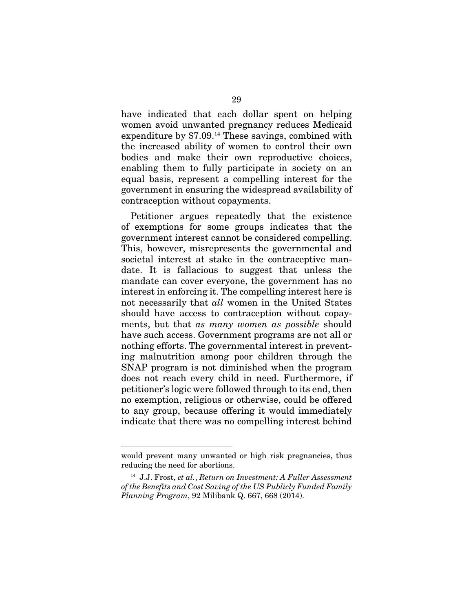have indicated that each dollar spent on helping women avoid unwanted pregnancy reduces Medicaid expenditure by \$7.09.14 These savings, combined with the increased ability of women to control their own bodies and make their own reproductive choices, enabling them to fully participate in society on an equal basis, represent a compelling interest for the government in ensuring the widespread availability of contraception without copayments.

Petitioner argues repeatedly that the existence of exemptions for some groups indicates that the government interest cannot be considered compelling. This, however, misrepresents the governmental and societal interest at stake in the contraceptive mandate. It is fallacious to suggest that unless the mandate can cover everyone, the government has no interest in enforcing it. The compelling interest here is not necessarily that *all* women in the United States should have access to contraception without copayments, but that *as many women as possible* should have such access. Government programs are not all or nothing efforts. The governmental interest in preventing malnutrition among poor children through the SNAP program is not diminished when the program does not reach every child in need. Furthermore, if petitioner's logic were followed through to its end, then no exemption, religious or otherwise, could be offered to any group, because offering it would immediately indicate that there was no compelling interest behind

would prevent many unwanted or high risk pregnancies, thus reducing the need for abortions.

<sup>14</sup> J.J. Frost, *et al.*, *Return on Investment: A Fuller Assessment of the Benefits and Cost Saving of the US Publicly Funded Family Planning Program*, 92 Milibank Q. 667, 668 (2014).